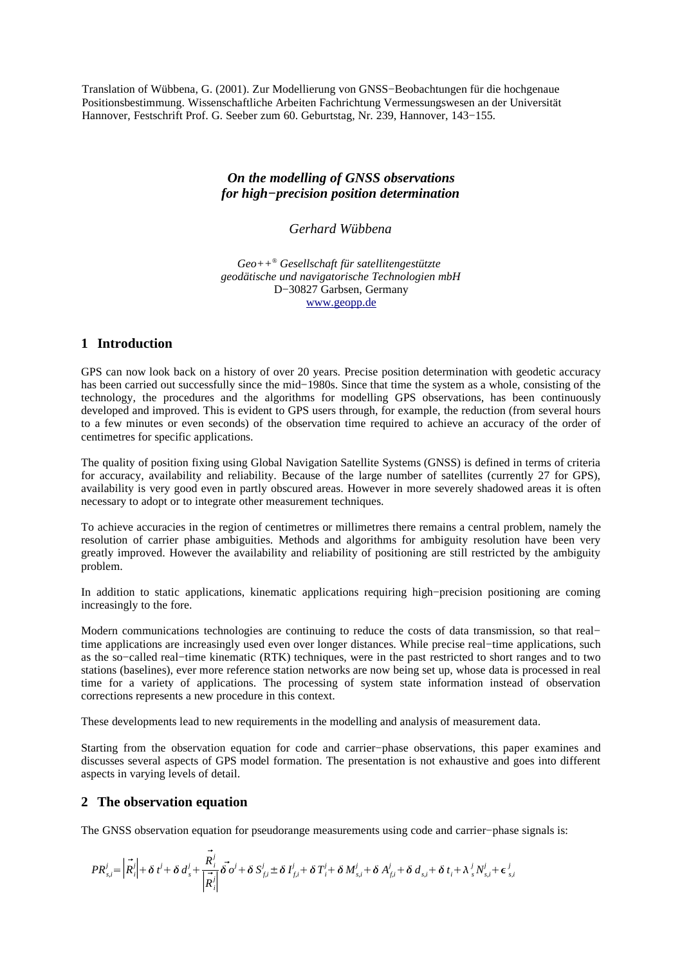Translation of Wübbena, G. (2001). Zur Modellierung von GNSS−Beobachtungen für die hochgenaue Positionsbestimmung. Wissenschaftliche Arbeiten Fachrichtung Vermessungswesen an der Universität Hannover, Festschrift Prof. G. Seeber zum 60. Geburtstag, Nr. 239, Hannover, 143−155.

## *On the modelling of GNSS observations for high−precision position determination*

*Gerhard Wübbena*

*Geo++ ® Gesellschaft für satellitengestützte geodätische und navigatorische Technologien mbH* D−30827 Garbsen, Germany www.geopp.de

### **1 Introduction**

GPS can now look back on a history of over 20 years. Precise position determination with geodetic accuracy has been carried out successfully since the mid−1980s. Since that time the system as a whole, consisting of the technology, the procedures and the algorithms for modelling GPS observations, has been continuously developed and improved. This is evident to GPS users through, for example, the reduction (from several hours to a few minutes or even seconds) of the observation time required to achieve an accuracy of the order of centimetres for specific applications.

The quality of position fixing using Global Navigation Satellite Systems (GNSS) is defined in terms of criteria for accuracy, availability and reliability. Because of the large number of satellites (currently 27 for GPS), availability is very good even in partly obscured areas. However in more severely shadowed areas it is often necessary to adopt or to integrate other measurement techniques.

To achieve accuracies in the region of centimetres or millimetres there remains a central problem, namely the resolution of carrier phase ambiguities. Methods and algorithms for ambiguity resolution have been very greatly improved. However the availability and reliability of positioning are still restricted by the ambiguity problem.

In addition to static applications, kinematic applications requiring high−precision positioning are coming increasingly to the fore.

Modern communications technologies are continuing to reduce the costs of data transmission, so that real− time applications are increasingly used even over longer distances. While precise real−time applications, such as the so−called real−time kinematic (RTK) techniques, were in the past restricted to short ranges and to two stations (baselines), ever more reference station networks are now being set up, whose data is processed in real time for a variety of applications. The processing of system state information instead of observation corrections represents a new procedure in this context.

These developments lead to new requirements in the modelling and analysis of measurement data.

Starting from the observation equation for code and carrier−phase observations, this paper examines and discusses several aspects of GPS model formation. The presentation is not exhaustive and goes into different aspects in varying levels of detail.

### **2 The observation equation**

The GNSS observation equation for pseudorange measurements using code and carrier–phase signals is:

$$
PR_{s,i}^{j} = \left| \vec{R}_{i}^{j} \right| + \delta t^{j} + \delta d_{s}^{j} + \frac{\vec{R}_{i}^{j}}{\left| \vec{R}_{i}^{j} \right|} \vec{\delta o^{j}} + \delta S_{fi}^{j} \pm \delta I_{fi}^{j} + \delta T_{i}^{j} + \delta M_{s,i}^{j} + \delta A_{fi}^{j} + \delta d_{s,i} + \delta t_{i} + \lambda_{s}^{j} N_{s,i}^{j} + \epsilon_{s,i}^{j}
$$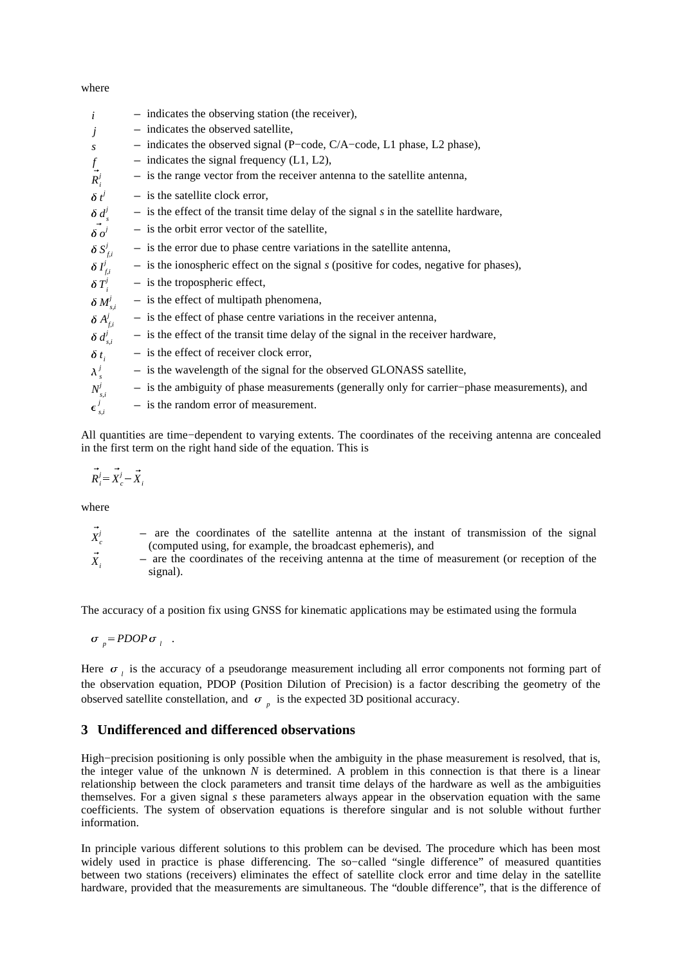where

| i                                           | $-$ indicates the observing station (the receiver),                                             |
|---------------------------------------------|-------------------------------------------------------------------------------------------------|
| j                                           | $-$ indicates the observed satellite,                                                           |
| $\boldsymbol{S}$                            | $-$ indicates the observed signal (P-code, C/A-code, L1 phase, L2 phase),                       |
|                                             | $-$ indicates the signal frequency (L1, L2),                                                    |
| $\frac{f}{R_i^j}$                           | $-$ is the range vector from the receiver antenna to the satellite antenna,                     |
| $\delta t^j$                                | $-$ is the satellite clock error,                                                               |
| $\delta d_s^j$                              | $-$ is the effect of the transit time delay of the signal s in the satellite hardware,          |
| $\vec{\delta} \vec{o}^j$                    | $-$ is the orbit error vector of the satellite,                                                 |
| $\delta S_{f,i}^j$                          | $-$ is the error due to phase centre variations in the satellite antenna,                       |
| $\delta I_{f,i}^j$                          | $-$ is the ionospheric effect on the signal $s$ (positive for codes, negative for phases),      |
| $\delta T_i^j$                              | $-$ is the tropospheric effect,                                                                 |
|                                             | $-$ is the effect of multipath phenomena,                                                       |
| $\frac{\delta M_{s,i}^j}{\delta A_{f,i}^j}$ | $\overline{a}$ is the effect of phase centre variations in the receiver antenna,                |
| $\delta d_{s,i}^j$                          | $-$ is the effect of the transit time delay of the signal in the receiver hardware,             |
| $\delta t_i$                                | $-$ is the effect of receiver clock error,                                                      |
| $\lambda_s^j$                               | - is the wavelength of the signal for the observed GLONASS satellite,                           |
| $N^j_{s,i}$                                 | $-$ is the ambiguity of phase measurements (generally only for carrier–phase measurements), and |
| $\epsilon_{s,i}^j$                          | $-$ is the random error of measurement.                                                         |

All quantities are time−dependent to varying extents. The coordinates of the receiving antenna are concealed in the first term on the right hand side of the equation. This is

$$
\vec{R}_i^j = \vec{X}_c^j - \vec{X}_i
$$

where

| $X^j$ | - are the coordinates of the satellite antenna at the instant of transmission of the signal                                                                                                                                        |  |  |  |  |  |
|-------|------------------------------------------------------------------------------------------------------------------------------------------------------------------------------------------------------------------------------------|--|--|--|--|--|
|       | (computed using, for example, the broadcast ephemeris), and                                                                                                                                                                        |  |  |  |  |  |
|       | $\mathcal{A}$ , and the contract of the contract of the contract of the contract of the contract of the contract of the contract of the contract of the contract of the contract of the contract of the contract of the contract o |  |  |  |  |  |

 $\vec{X}$ <sub>*i*</sub> − are the coordinates of the receiving antenna at the time of measurement (or reception of the signal).

The accuracy of a position fix using GNSS for kinematic applications may be estimated using the formula

 $\sigma_p = PDOP \sigma_l$ .

Here  $\sigma_i$  is the accuracy of a pseudorange measurement including all error components not forming part of the observation equation, PDOP (Position Dilution of Precision) is a factor describing the geometry of the observed satellite constellation, and  $\sigma_p$  is the expected 3D positional accuracy.

#### **3 Undifferenced and differenced observations**

High–precision positioning is only possible when the ambiguity in the phase measurement is resolved, that is, the integer value of the unknown *N* is determined. A problem in this connection is that there is a linear relationship between the clock parameters and transit time delays of the hardware as well as the ambiguities themselves. For a given signal *s* these parameters always appear in the observation equation with the same coefficients. The system of observation equations is therefore singular and is not soluble without further information.

In principle various different solutions to this problem can be devised. The procedure which has been most widely used in practice is phase differencing. The so−called "single difference" of measured quantities between two stations (receivers) eliminates the effect of satellite clock error and time delay in the satellite hardware, provided that the measurements are simultaneous. The "double difference", that is the difference of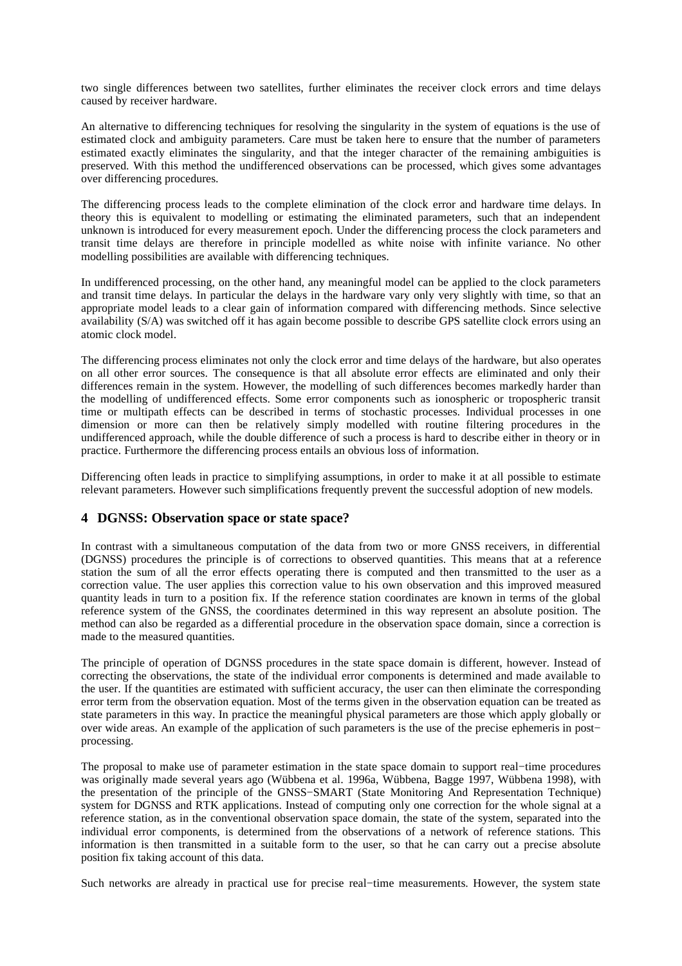two single differences between two satellites, further eliminates the receiver clock errors and time delays caused by receiver hardware.

An alternative to differencing techniques for resolving the singularity in the system of equations is the use of estimated clock and ambiguity parameters. Care must be taken here to ensure that the number of parameters estimated exactly eliminates the singularity, and that the integer character of the remaining ambiguities is preserved. With this method the undifferenced observations can be processed, which gives some advantages over differencing procedures.

The differencing process leads to the complete elimination of the clock error and hardware time delays. In theory this is equivalent to modelling or estimating the eliminated parameters, such that an independent unknown is introduced for every measurement epoch. Under the differencing process the clock parameters and transit time delays are therefore in principle modelled as white noise with infinite variance. No other modelling possibilities are available with differencing techniques.

In undifferenced processing, on the other hand, any meaningful model can be applied to the clock parameters and transit time delays. In particular the delays in the hardware vary only very slightly with time, so that an appropriate model leads to a clear gain of information compared with differencing methods. Since selective availability (S/A) was switched off it has again become possible to describe GPS satellite clock errors using an atomic clock model.

The differencing process eliminates not only the clock error and time delays of the hardware, but also operates on all other error sources. The consequence is that all absolute error effects are eliminated and only their differences remain in the system. However, the modelling of such differences becomes markedly harder than the modelling of undifferenced effects. Some error components such as ionospheric or tropospheric transit time or multipath effects can be described in terms of stochastic processes. Individual processes in one dimension or more can then be relatively simply modelled with routine filtering procedures in the undifferenced approach, while the double difference of such a process is hard to describe either in theory or in practice. Furthermore the differencing process entails an obvious loss of information.

Differencing often leads in practice to simplifying assumptions, in order to make it at all possible to estimate relevant parameters. However such simplifications frequently prevent the successful adoption of new models.

#### **4 DGNSS: Observation space or state space?**

In contrast with a simultaneous computation of the data from two or more GNSS receivers, in differential (DGNSS) procedures the principle is of corrections to observed quantities. This means that at a reference station the sum of all the error effects operating there is computed and then transmitted to the user as a correction value. The user applies this correction value to his own observation and this improved measured quantity leads in turn to a position fix. If the reference station coordinates are known in terms of the global reference system of the GNSS, the coordinates determined in this way represent an absolute position. The method can also be regarded as a differential procedure in the observation space domain, since a correction is made to the measured quantities.

The principle of operation of DGNSS procedures in the state space domain is different, however. Instead of correcting the observations, the state of the individual error components is determined and made available to the user. If the quantities are estimated with sufficient accuracy, the user can then eliminate the corresponding error term from the observation equation. Most of the terms given in the observation equation can be treated as state parameters in this way. In practice the meaningful physical parameters are those which apply globally or over wide areas. An example of the application of such parameters is the use of the precise ephemeris in post− processing.

The proposal to make use of parameter estimation in the state space domain to support real−time procedures was originally made several years ago (Wübbena et al. 1996a, Wübbena, Bagge 1997, Wübbena 1998), with the presentation of the principle of the GNSS−SMART (State Monitoring And Representation Technique) system for DGNSS and RTK applications. Instead of computing only one correction for the whole signal at a reference station, as in the conventional observation space domain, the state of the system, separated into the individual error components, is determined from the observations of a network of reference stations. This information is then transmitted in a suitable form to the user, so that he can carry out a precise absolute position fix taking account of this data.

Such networks are already in practical use for precise real−time measurements. However, the system state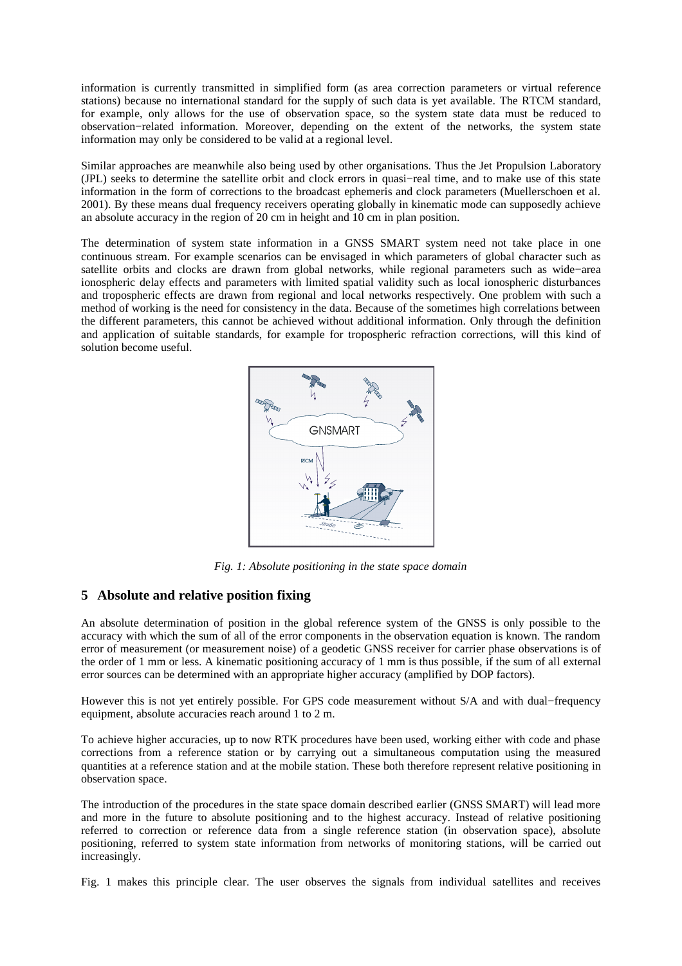information is currently transmitted in simplified form (as area correction parameters or virtual reference stations) because no international standard for the supply of such data is yet available. The RTCM standard, for example, only allows for the use of observation space, so the system state data must be reduced to observation−related information. Moreover, depending on the extent of the networks, the system state information may only be considered to be valid at a regional level.

Similar approaches are meanwhile also being used by other organisations. Thus the Jet Propulsion Laboratory (JPL) seeks to determine the satellite orbit and clock errors in quasi−real time, and to make use of this state information in the form of corrections to the broadcast ephemeris and clock parameters (Muellerschoen et al. 2001). By these means dual frequency receivers operating globally in kinematic mode can supposedly achieve an absolute accuracy in the region of 20 cm in height and 10 cm in plan position.

The determination of system state information in a GNSS SMART system need not take place in one continuous stream. For example scenarios can be envisaged in which parameters of global character such as satellite orbits and clocks are drawn from global networks, while regional parameters such as wide−area ionospheric delay effects and parameters with limited spatial validity such as local ionospheric disturbances and tropospheric effects are drawn from regional and local networks respectively. One problem with such a method of working is the need for consistency in the data. Because of the sometimes high correlations between the different parameters, this cannot be achieved without additional information. Only through the definition and application of suitable standards, for example for tropospheric refraction corrections, will this kind of solution become useful.



*Fig. 1: Absolute positioning in the state space domain*

# **5 Absolute and relative position fixing**

An absolute determination of position in the global reference system of the GNSS is only possible to the accuracy with which the sum of all of the error components in the observation equation is known. The random error of measurement (or measurement noise) of a geodetic GNSS receiver for carrier phase observations is of the order of 1 mm or less. A kinematic positioning accuracy of 1 mm is thus possible, if the sum of all external error sources can be determined with an appropriate higher accuracy (amplified by DOP factors).

However this is not yet entirely possible. For GPS code measurement without S/A and with dual−frequency equipment, absolute accuracies reach around 1 to 2 m.

To achieve higher accuracies, up to now RTK procedures have been used, working either with code and phase corrections from a reference station or by carrying out a simultaneous computation using the measured quantities at a reference station and at the mobile station. These both therefore represent relative positioning in observation space.

The introduction of the procedures in the state space domain described earlier (GNSS SMART) will lead more and more in the future to absolute positioning and to the highest accuracy. Instead of relative positioning referred to correction or reference data from a single reference station (in observation space), absolute positioning, referred to system state information from networks of monitoring stations, will be carried out increasingly.

Fig. 1 makes this principle clear. The user observes the signals from individual satellites and receives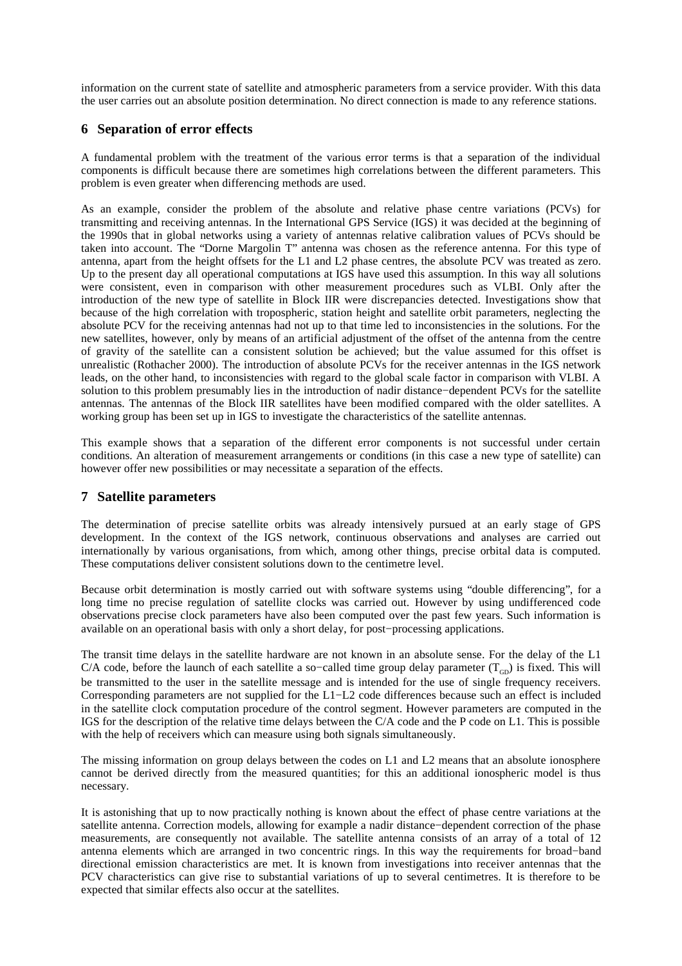information on the current state of satellite and atmospheric parameters from a service provider. With this data the user carries out an absolute position determination. No direct connection is made to any reference stations.

## **6 Separation of error effects**

A fundamental problem with the treatment of the various error terms is that a separation of the individual components is difficult because there are sometimes high correlations between the different parameters. This problem is even greater when differencing methods are used.

As an example, consider the problem of the absolute and relative phase centre variations (PCVs) for transmitting and receiving antennas. In the International GPS Service (IGS) it was decided at the beginning of the 1990s that in global networks using a variety of antennas relative calibration values of PCVs should be taken into account. The "Dorne Margolin T" antenna was chosen as the reference antenna. For this type of antenna, apart from the height offsets for the L1 and L2 phase centres, the absolute PCV was treated as zero. Up to the present day all operational computations at IGS have used this assumption. In this way all solutions were consistent, even in comparison with other measurement procedures such as VLBI. Only after the introduction of the new type of satellite in Block IIR were discrepancies detected. Investigations show that because of the high correlation with tropospheric, station height and satellite orbit parameters, neglecting the absolute PCV for the receiving antennas had not up to that time led to inconsistencies in the solutions. For the new satellites, however, only by means of an artificial adjustment of the offset of the antenna from the centre of gravity of the satellite can a consistent solution be achieved; but the value assumed for this offset is unrealistic (Rothacher 2000). The introduction of absolute PCVs for the receiver antennas in the IGS network leads, on the other hand, to inconsistencies with regard to the global scale factor in comparison with VLBI. A solution to this problem presumably lies in the introduction of nadir distance−dependent PCVs for the satellite antennas. The antennas of the Block IIR satellites have been modified compared with the older satellites. A working group has been set up in IGS to investigate the characteristics of the satellite antennas.

This example shows that a separation of the different error components is not successful under certain conditions. An alteration of measurement arrangements or conditions (in this case a new type of satellite) can however offer new possibilities or may necessitate a separation of the effects.

### **7 Satellite parameters**

The determination of precise satellite orbits was already intensively pursued at an early stage of GPS development. In the context of the IGS network, continuous observations and analyses are carried out internationally by various organisations, from which, among other things, precise orbital data is computed. These computations deliver consistent solutions down to the centimetre level.

Because orbit determination is mostly carried out with software systems using "double differencing", for a long time no precise regulation of satellite clocks was carried out. However by using undifferenced code observations precise clock parameters have also been computed over the past few years. Such information is available on an operational basis with only a short delay, for post−processing applications.

The transit time delays in the satellite hardware are not known in an absolute sense. For the delay of the L1 C/A code, before the launch of each satellite a so-called time group delay parameter  $(T_{GD})$  is fixed. This will be transmitted to the user in the satellite message and is intended for the use of single frequency receivers. Corresponding parameters are not supplied for the L1−L2 code differences because such an effect is included in the satellite clock computation procedure of the control segment. However parameters are computed in the IGS for the description of the relative time delays between the C/A code and the P code on L1. This is possible with the help of receivers which can measure using both signals simultaneously.

The missing information on group delays between the codes on L1 and L2 means that an absolute ionosphere cannot be derived directly from the measured quantities; for this an additional ionospheric model is thus necessary.

It is astonishing that up to now practically nothing is known about the effect of phase centre variations at the satellite antenna. Correction models, allowing for example a nadir distance−dependent correction of the phase measurements, are consequently not available. The satellite antenna consists of an array of a total of 12 antenna elements which are arranged in two concentric rings. In this way the requirements for broad−band directional emission characteristics are met. It is known from investigations into receiver antennas that the PCV characteristics can give rise to substantial variations of up to several centimetres. It is therefore to be expected that similar effects also occur at the satellites.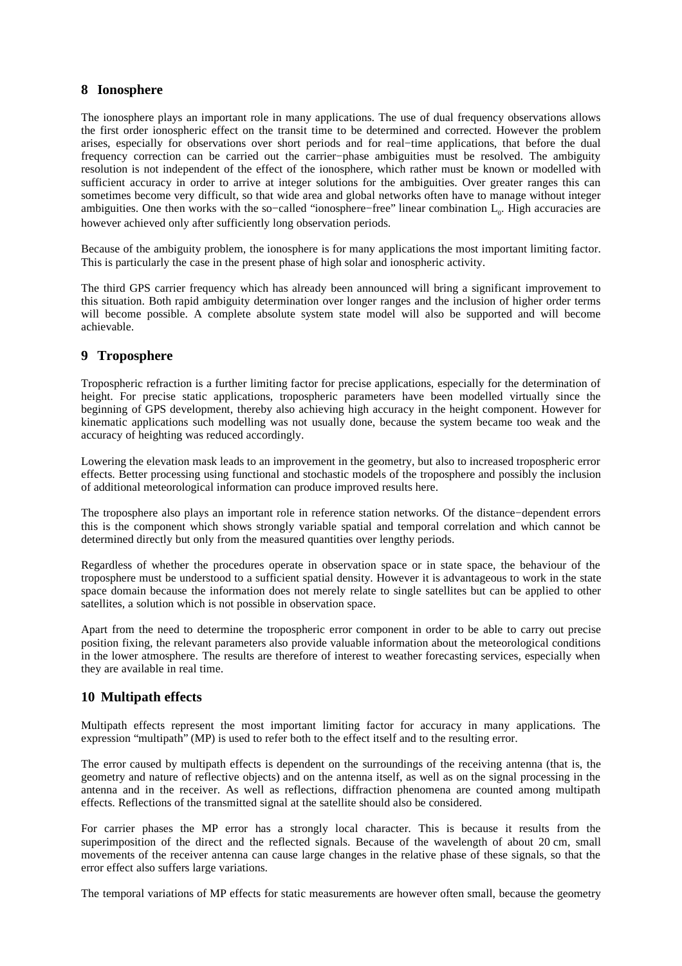### **8 Ionosphere**

The ionosphere plays an important role in many applications. The use of dual frequency observations allows the first order ionospheric effect on the transit time to be determined and corrected. However the problem arises, especially for observations over short periods and for real−time applications, that before the dual frequency correction can be carried out the carrier−phase ambiguities must be resolved. The ambiguity resolution is not independent of the effect of the ionosphere, which rather must be known or modelled with sufficient accuracy in order to arrive at integer solutions for the ambiguities. Over greater ranges this can sometimes become very difficult, so that wide area and global networks often have to manage without integer ambiguities. One then works with the so-called "ionosphere-free" linear combination L<sub>0</sub>. High accuracies are however achieved only after sufficiently long observation periods.

Because of the ambiguity problem, the ionosphere is for many applications the most important limiting factor. This is particularly the case in the present phase of high solar and ionospheric activity.

The third GPS carrier frequency which has already been announced will bring a significant improvement to this situation. Both rapid ambiguity determination over longer ranges and the inclusion of higher order terms will become possible. A complete absolute system state model will also be supported and will become achievable.

# **9 Troposphere**

Tropospheric refraction is a further limiting factor for precise applications, especially for the determination of height. For precise static applications, tropospheric parameters have been modelled virtually since the beginning of GPS development, thereby also achieving high accuracy in the height component. However for kinematic applications such modelling was not usually done, because the system became too weak and the accuracy of heighting was reduced accordingly.

Lowering the elevation mask leads to an improvement in the geometry, but also to increased tropospheric error effects. Better processing using functional and stochastic models of the troposphere and possibly the inclusion of additional meteorological information can produce improved results here.

The troposphere also plays an important role in reference station networks. Of the distance−dependent errors this is the component which shows strongly variable spatial and temporal correlation and which cannot be determined directly but only from the measured quantities over lengthy periods.

Regardless of whether the procedures operate in observation space or in state space, the behaviour of the troposphere must be understood to a sufficient spatial density. However it is advantageous to work in the state space domain because the information does not merely relate to single satellites but can be applied to other satellites, a solution which is not possible in observation space.

Apart from the need to determine the tropospheric error component in order to be able to carry out precise position fixing, the relevant parameters also provide valuable information about the meteorological conditions in the lower atmosphere. The results are therefore of interest to weather forecasting services, especially when they are available in real time.

# **10 Multipath effects**

Multipath effects represent the most important limiting factor for accuracy in many applications. The expression "multipath" (MP) is used to refer both to the effect itself and to the resulting error.

The error caused by multipath effects is dependent on the surroundings of the receiving antenna (that is, the geometry and nature of reflective objects) and on the antenna itself, as well as on the signal processing in the antenna and in the receiver. As well as reflections, diffraction phenomena are counted among multipath effects. Reflections of the transmitted signal at the satellite should also be considered.

For carrier phases the MP error has a strongly local character. This is because it results from the superimposition of the direct and the reflected signals. Because of the wavelength of about 20 cm, small movements of the receiver antenna can cause large changes in the relative phase of these signals, so that the error effect also suffers large variations.

The temporal variations of MP effects for static measurements are however often small, because the geometry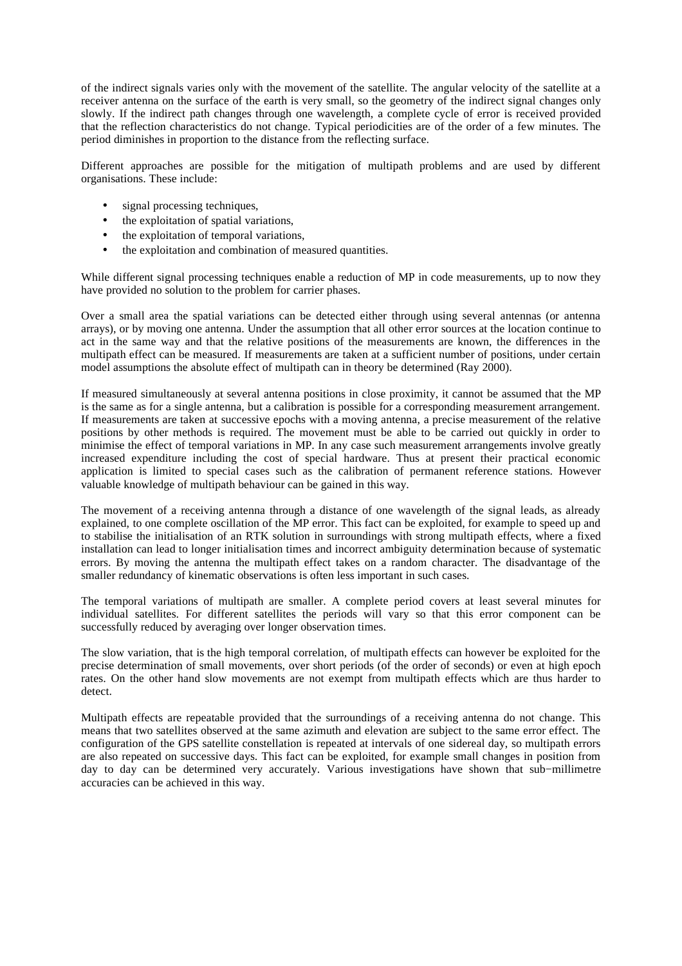of the indirect signals varies only with the movement of the satellite. The angular velocity of the satellite at a receiver antenna on the surface of the earth is very small, so the geometry of the indirect signal changes only slowly. If the indirect path changes through one wavelength, a complete cycle of error is received provided that the reflection characteristics do not change. Typical periodicities are of the order of a few minutes. The period diminishes in proportion to the distance from the reflecting surface.

Different approaches are possible for the mitigation of multipath problems and are used by different organisations. These include:

- signal processing techniques,
- the exploitation of spatial variations,
- the exploitation of temporal variations,
- the exploitation and combination of measured quantities.

While different signal processing techniques enable a reduction of MP in code measurements, up to now they have provided no solution to the problem for carrier phases.

Over a small area the spatial variations can be detected either through using several antennas (or antenna arrays), or by moving one antenna. Under the assumption that all other error sources at the location continue to act in the same way and that the relative positions of the measurements are known, the differences in the multipath effect can be measured. If measurements are taken at a sufficient number of positions, under certain model assumptions the absolute effect of multipath can in theory be determined (Ray 2000).

If measured simultaneously at several antenna positions in close proximity, it cannot be assumed that the MP is the same as for a single antenna, but a calibration is possible for a corresponding measurement arrangement. If measurements are taken at successive epochs with a moving antenna, a precise measurement of the relative positions by other methods is required. The movement must be able to be carried out quickly in order to minimise the effect of temporal variations in MP. In any case such measurement arrangements involve greatly increased expenditure including the cost of special hardware. Thus at present their practical economic application is limited to special cases such as the calibration of permanent reference stations. However valuable knowledge of multipath behaviour can be gained in this way.

The movement of a receiving antenna through a distance of one wavelength of the signal leads, as already explained, to one complete oscillation of the MP error. This fact can be exploited, for example to speed up and to stabilise the initialisation of an RTK solution in surroundings with strong multipath effects, where a fixed installation can lead to longer initialisation times and incorrect ambiguity determination because of systematic errors. By moving the antenna the multipath effect takes on a random character. The disadvantage of the smaller redundancy of kinematic observations is often less important in such cases.

The temporal variations of multipath are smaller. A complete period covers at least several minutes for individual satellites. For different satellites the periods will vary so that this error component can be successfully reduced by averaging over longer observation times.

The slow variation, that is the high temporal correlation, of multipath effects can however be exploited for the precise determination of small movements, over short periods (of the order of seconds) or even at high epoch rates. On the other hand slow movements are not exempt from multipath effects which are thus harder to detect.

Multipath effects are repeatable provided that the surroundings of a receiving antenna do not change. This means that two satellites observed at the same azimuth and elevation are subject to the same error effect. The configuration of the GPS satellite constellation is repeated at intervals of one sidereal day, so multipath errors are also repeated on successive days. This fact can be exploited, for example small changes in position from day to day can be determined very accurately. Various investigations have shown that sub−millimetre accuracies can be achieved in this way.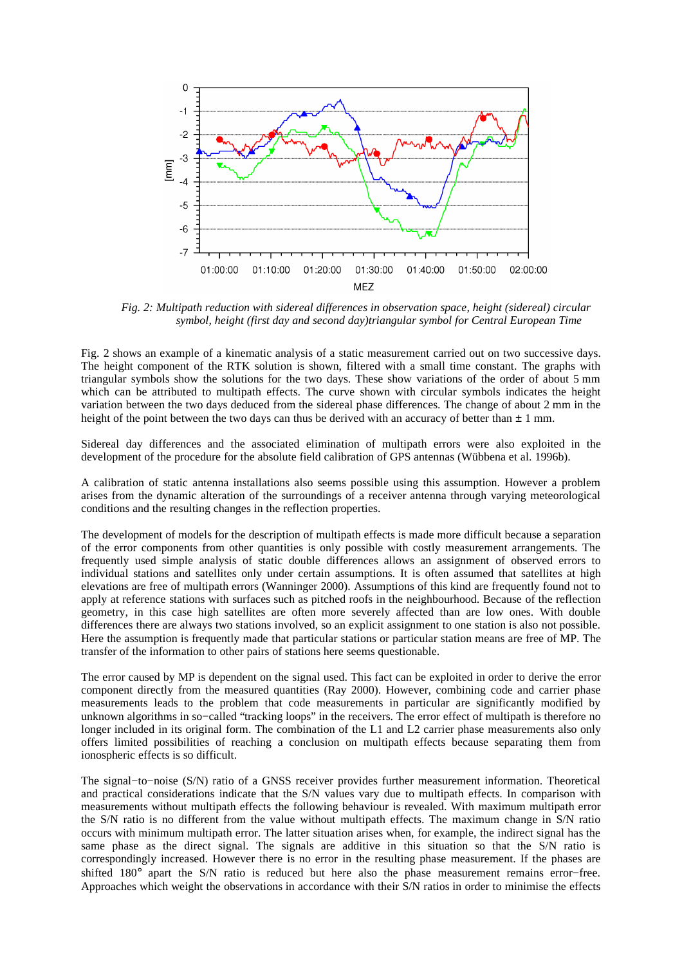

*Fig. 2: Multipath reduction with sidereal differences in observation space, height (sidereal) circular symbol, height (first day and second day)triangular symbol for Central European Time*

Fig. 2 shows an example of a kinematic analysis of a static measurement carried out on two successive days. The height component of the RTK solution is shown, filtered with a small time constant. The graphs with triangular symbols show the solutions for the two days. These show variations of the order of about 5 mm which can be attributed to multipath effects. The curve shown with circular symbols indicates the height variation between the two days deduced from the sidereal phase differences. The change of about 2 mm in the height of the point between the two days can thus be derived with an accuracy of better than  $\pm 1$  mm.

Sidereal day differences and the associated elimination of multipath errors were also exploited in the development of the procedure for the absolute field calibration of GPS antennas (Wübbena et al. 1996b).

A calibration of static antenna installations also seems possible using this assumption. However a problem arises from the dynamic alteration of the surroundings of a receiver antenna through varying meteorological conditions and the resulting changes in the reflection properties.

The development of models for the description of multipath effects is made more difficult because a separation of the error components from other quantities is only possible with costly measurement arrangements. The frequently used simple analysis of static double differences allows an assignment of observed errors to individual stations and satellites only under certain assumptions. It is often assumed that satellites at high elevations are free of multipath errors (Wanninger 2000). Assumptions of this kind are frequently found not to apply at reference stations with surfaces such as pitched roofs in the neighbourhood. Because of the reflection geometry, in this case high satellites are often more severely affected than are low ones. With double differences there are always two stations involved, so an explicit assignment to one station is also not possible. Here the assumption is frequently made that particular stations or particular station means are free of MP. The transfer of the information to other pairs of stations here seems questionable.

The error caused by MP is dependent on the signal used. This fact can be exploited in order to derive the error component directly from the measured quantities (Ray 2000). However, combining code and carrier phase measurements leads to the problem that code measurements in particular are significantly modified by unknown algorithms in so−called "tracking loops" in the receivers. The error effect of multipath is therefore no longer included in its original form. The combination of the L1 and L2 carrier phase measurements also only offers limited possibilities of reaching a conclusion on multipath effects because separating them from ionospheric effects is so difficult.

The signal−to−noise (S/N) ratio of a GNSS receiver provides further measurement information. Theoretical and practical considerations indicate that the S/N values vary due to multipath effects. In comparison with measurements without multipath effects the following behaviour is revealed. With maximum multipath error the S/N ratio is no different from the value without multipath effects. The maximum change in S/N ratio occurs with minimum multipath error. The latter situation arises when, for example, the indirect signal has the same phase as the direct signal. The signals are additive in this situation so that the S/N ratio is correspondingly increased. However there is no error in the resulting phase measurement. If the phases are shifted 180° apart the S/N ratio is reduced but here also the phase measurement remains error−free. Approaches which weight the observations in accordance with their S/N ratios in order to minimise the effects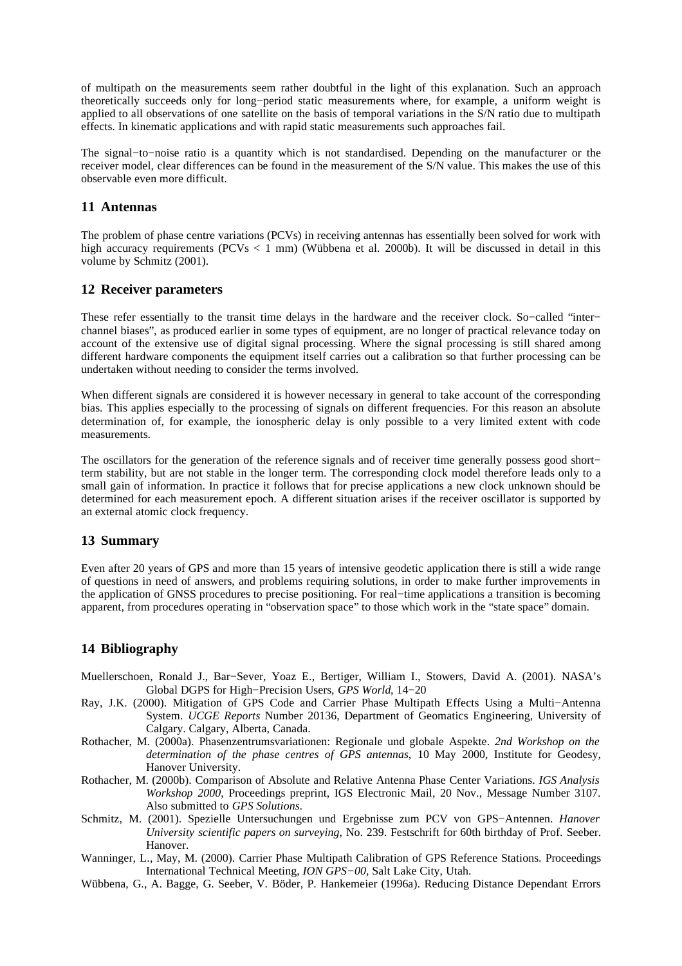of multipath on the measurements seem rather doubtful in the light of this explanation. Such an approach theoretically succeeds only for long−period static measurements where, for example, a uniform weight is applied to all observations of one satellite on the basis of temporal variations in the S/N ratio due to multipath effects. In kinematic applications and with rapid static measurements such approaches fail.

The signal−to−noise ratio is a quantity which is not standardised. Depending on the manufacturer or the receiver model, clear differences can be found in the measurement of the S/N value. This makes the use of this observable even more difficult.

#### **11 Antennas**

The problem of phase centre variations (PCVs) in receiving antennas has essentially been solved for work with high accuracy requirements (PCVs  $\lt 1$  mm) (Wübbena et al. 2000b). It will be discussed in detail in this volume by Schmitz (2001).

### **12 Receiver parameters**

These refer essentially to the transit time delays in the hardware and the receiver clock. So–called "inter– channel biases", as produced earlier in some types of equipment, are no longer of practical relevance today on account of the extensive use of digital signal processing. Where the signal processing is still shared among different hardware components the equipment itself carries out a calibration so that further processing can be undertaken without needing to consider the terms involved.

When different signals are considered it is however necessary in general to take account of the corresponding bias. This applies especially to the processing of signals on different frequencies. For this reason an absolute determination of, for example, the ionospheric delay is only possible to a very limited extent with code measurements.

The oscillators for the generation of the reference signals and of receiver time generally possess good short− term stability, but are not stable in the longer term. The corresponding clock model therefore leads only to a small gain of information. In practice it follows that for precise applications a new clock unknown should be determined for each measurement epoch. A different situation arises if the receiver oscillator is supported by an external atomic clock frequency.

### **13 Summary**

Even after 20 years of GPS and more than 15 years of intensive geodetic application there is still a wide range of questions in need of answers, and problems requiring solutions, in order to make further improvements in the application of GNSS procedures to precise positioning. For real−time applications a transition is becoming apparent, from procedures operating in "observation space" to those which work in the "state space" domain.

# **14 Bibliography**

- Muellerschoen, Ronald J., Bar−Sever, Yoaz E., Bertiger, William I., Stowers, David A. (2001). NASA's Global DGPS for High−Precision Users, *GPS World*, 14−20
- Ray, J.K. (2000). Mitigation of GPS Code and Carrier Phase Multipath Effects Using a Multi−Antenna System. *UCGE Reports* Number 20136, Department of Geomatics Engineering, University of Calgary. Calgary, Alberta, Canada.
- Rothacher, M. (2000a). Phasenzentrumsvariationen: Regionale und globale Aspekte. *2nd Workshop on the determination of the phase centres of GPS antennas*, 10 May 2000, Institute for Geodesy, Hanover University.
- Rothacher, M. (2000b). Comparison of Absolute and Relative Antenna Phase Center Variations. *IGS Analysis Workshop 2000*, Proceedings preprint, IGS Electronic Mail, 20 Nov., Message Number 3107. Also submitted to *GPS Solutions*.
- Schmitz, M. (2001). Spezielle Untersuchungen und Ergebnisse zum PCV von GPS−Antennen. *Hanover University scientific papers on surveying*, No. 239. Festschrift for 60th birthday of Prof. Seeber. Hanover.
- Wanninger, L., May, M. (2000). Carrier Phase Multipath Calibration of GPS Reference Stations. Proceedings International Technical Meeting, *ION GPS−00*, Salt Lake City, Utah.
- Wübbena, G., A. Bagge, G. Seeber, V. Böder, P. Hankemeier (1996a). Reducing Distance Dependant Errors